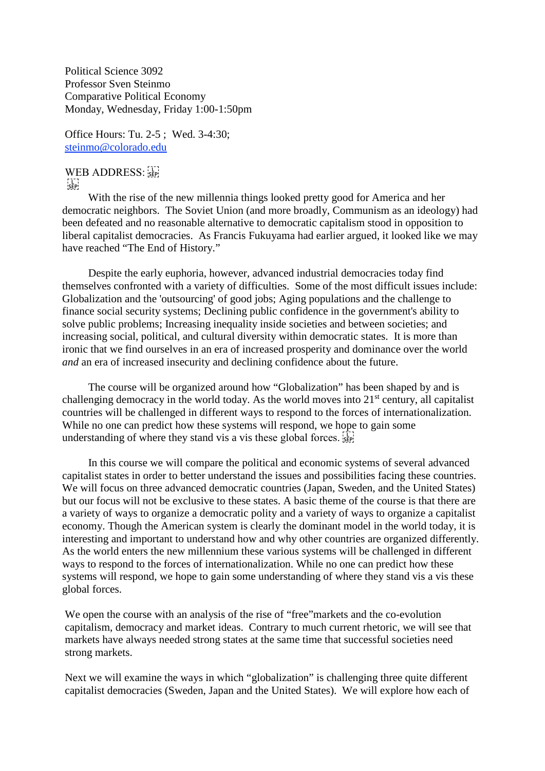Political Science 3092 Professor Sven Steinmo Comparative Political Economy Monday, Wednesday, Friday 1:00-1:50pm

Office Hours: Tu. 2-5 ; Wed. 3-4:30; [steinmo@colorado.edu](http://sobek.colorado.edu/%7Esteinmo/steinmo@colorado.edu)

WEB ADDRESS:  $\frac{1}{\mathsf{SEP}}$ 

With the rise of the new millennia things looked pretty good for America and her democratic neighbors. The Soviet Union (and more broadly, Communism as an ideology) had been defeated and no reasonable alternative to democratic capitalism stood in opposition to liberal capitalist democracies. As Francis Fukuyama had earlier argued, it looked like we may have reached "The End of History."

Despite the early euphoria, however, advanced industrial democracies today find themselves confronted with a variety of difficulties. Some of the most difficult issues include: Globalization and the 'outsourcing' of good jobs; Aging populations and the challenge to finance social security systems; Declining public confidence in the government's ability to solve public problems; Increasing inequality inside societies and between societies; and increasing social, political, and cultural diversity within democratic states. It is more than ironic that we find ourselves in an era of increased prosperity and dominance over the world *and* an era of increased insecurity and declining confidence about the future.

The course will be organized around how "Globalization" has been shaped by and is challenging democracy in the world today. As the world moves into  $21<sup>st</sup>$  century, all capitalist countries will be challenged in different ways to respond to the forces of internationalization. While no one can predict how these systems will respond, we hope to gain some understanding of where they stand vis a vis these global forces.

In this course we will compare the political and economic systems of several advanced capitalist states in order to better understand the issues and possibilities facing these countries. We will focus on three advanced democratic countries (Japan, Sweden, and the United States) but our focus will not be exclusive to these states. A basic theme of the course is that there are a variety of ways to organize a democratic polity and a variety of ways to organize a capitalist economy. Though the American system is clearly the dominant model in the world today, it is interesting and important to understand how and why other countries are organized differently. As the world enters the new millennium these various systems will be challenged in different ways to respond to the forces of internationalization. While no one can predict how these systems will respond, we hope to gain some understanding of where they stand vis a vis these global forces.

We open the course with an analysis of the rise of "free"markets and the co-evolution capitalism, democracy and market ideas. Contrary to much current rhetoric, we will see that markets have always needed strong states at the same time that successful societies need strong markets.

Next we will examine the ways in which "globalization" is challenging three quite different capitalist democracies (Sweden, Japan and the United States). We will explore how each of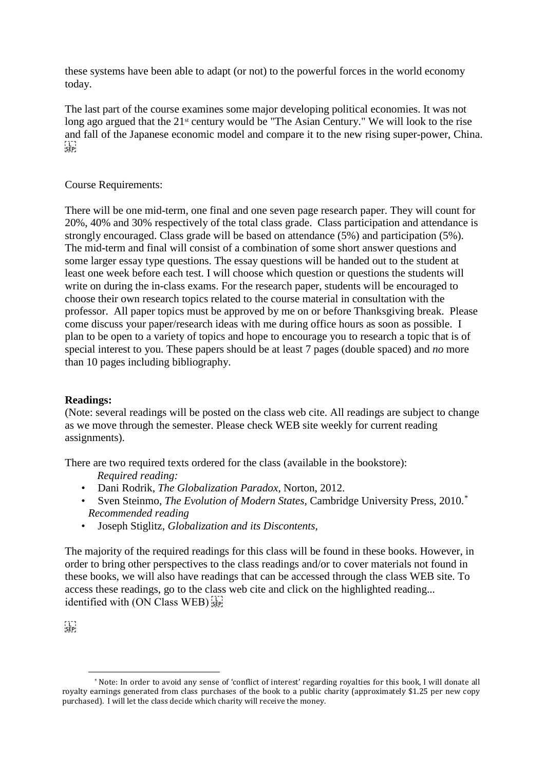these systems have been able to adapt (or not) to the powerful forces in the world economy today.

The last part of the course examines some major developing political economies. It was not long ago argued that the 21<sup>st</sup> century would be "The Asian Century." We will look to the rise and fall of the Japanese economic model and compare it to the new rising super-power, China.  $\sum_{i\in \mathsf{FP}}$ 

# Course Requirements:

There will be one mid-term, one final and one seven page research paper. They will count for 20%, 40% and 30% respectively of the total class grade. Class participation and attendance is strongly encouraged. Class grade will be based on attendance (5%) and participation (5%). The mid-term and final will consist of a combination of some short answer questions and some larger essay type questions. The essay questions will be handed out to the student at least one week before each test. I will choose which question or questions the students will write on during the in-class exams. For the research paper, students will be encouraged to choose their own research topics related to the course material in consultation with the professor. All paper topics must be approved by me on or before Thanksgiving break. Please come discuss your paper/research ideas with me during office hours as soon as possible. I plan to be open to a variety of topics and hope to encourage you to research a topic that is of special interest to you. These papers should be at least 7 pages (double spaced) and *no* more than 10 pages including bibliography.

# **Readings:**

(Note: several readings will be posted on the class web cite. All readings are subject to change as we move through the semester. Please check WEB site weekly for current reading assignments).

There are two required texts ordered for the class (available in the bookstore):

*Required reading:*

- Dani Rodrik, *The Globalization Paradox,* Norton, 2012.
- Sven Steinmo, *The Evolution of Modern States,* Cambridge University Press, 2010.[\\*](#page-1-0) *Recommended reading*
- Joseph Stiglitz, *Globalization and its Discontents,*

The majority of the required readings for this class will be found in these books. However, in order to bring other perspectives to the class readings and/or to cover materials not found in these books, we will also have readings that can be accessed through the class WEB site. To access these readings, go to the class web cite and click on the highlighted reading... identified with (ON Class WEB) see

 $\sum_{i\in \mathbf{P}_i}$ 

<span id="page-1-0"></span> <sup>\*</sup> Note: In order to avoid any sense of 'conflict of interest' regarding royalties for this book, I will donate all royalty earnings generated from class purchases of the book to a public charity (approximately \$1.25 per new copy purchased). I will let the class decide which charity will receive the money.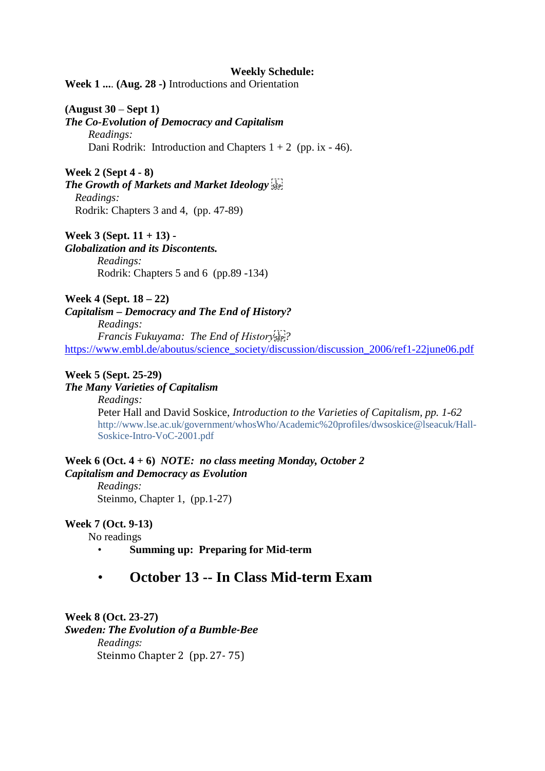### **Weekly Schedule:**

**Week 1 ...**. **(Aug. 28 -)** Introductions and Orientation

## **(August 30** – **Sept 1)**

*The Co-Evolution of Democracy and Capitalism Readings:* Dani Rodrik: Introduction and Chapters  $1 + 2$  (pp. ix - 46).

# **Week 2 (Sept 4 - 8)** *The Growth of Markets and Market Ideology Readings:* Rodrik: Chapters 3 and 4, (pp. 47-89)

**Week 3 (Sept. 11 + 13) -** 

# *Globalization and its Discontents.*

*Readings:* Rodrik: Chapters 5 and 6 (pp.89 -134)

**Week 4 (Sept. 18 – 22)**

*Capitalism – Democracy and The End of History?*

*Readings: Francis Fukuyama: The End of History ?* [https://www.embl.de/aboutus/science\\_society/discussion/discussion\\_2006/ref1-22june06.pdf](https://www.embl.de/aboutus/science_society/discussion/discussion_2006/ref1-22june06.pdf)

# **Week 5 (Sept. 25-29)**

# *The Many Varieties of Capitalism*

*Readings:*  Peter Hall and David Soskice, *Introduction to the Varieties of Capitalism, pp. 1-62* http://www.lse.ac.uk/government/whosWho/Academic%20profiles/dwsoskice@lseacuk/Hall-Soskice-Intro-VoC-2001.pdf

# **Week 6 (Oct. 4 + 6)** *NOTE: no class meeting Monday, October 2 Capitalism and Democracy as Evolution*

*Readings:* Steinmo, Chapter 1, (pp.1-27)

### **Week 7 (Oct. 9-13)**

No readings

• **Summing up: Preparing for Mid-term**

# • **October 13 -- In Class Mid-term Exam**

**Week 8 (Oct. 23-27)** *Sweden: The Evolution of a Bumble-Bee Readings:* Steinmo Chapter 2 (pp. 27- 75)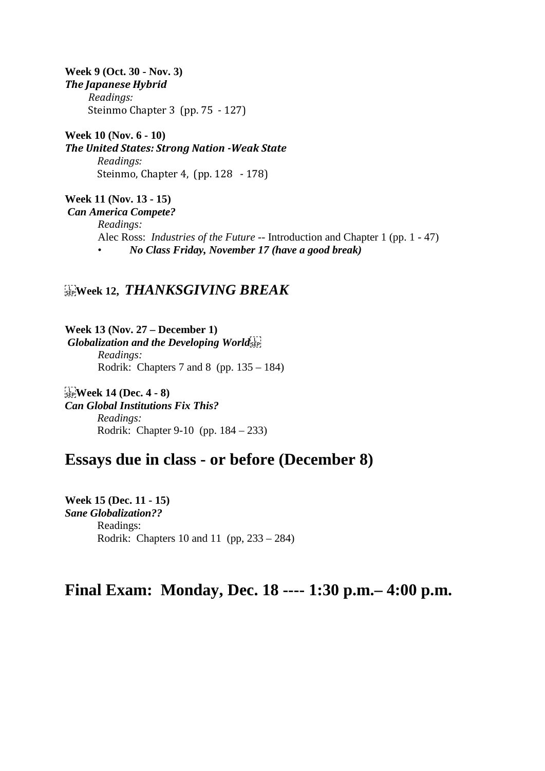**Week 9 (Oct. 30 - Nov. 3)** *The Japanese Hybrid Readings:*  Steinmo Chapter 3 (pp. 75 - 127)

**Week 10 (Nov. 6 - 10)** *The United States: Strong Nation -Weak State Readings:* Steinmo, Chapter 4, (pp. 128 - 178)

**Week 11 (Nov. 13 - 15)** *Can America Compete? Readings:*  Alec Ross: *Industries of the Future* -- Introduction and Chapter 1 (pp. 1 - 47) • *No Class Friday, November 17 (have a good break)*

# **Week 12,** *THANKSGIVING BREAK*

**Week 13 (Nov. 27 – December 1)** *Globalization and the Developing World Readings:* Rodrik: Chapters 7 and 8 (pp. 135 – 184)

 **Week 14 (Dec. 4 - 8)** *Can Global Institutions Fix This? Readings:* Rodrik: Chapter 9-10 (pp. 184 – 233)

# **Essays due in class - or before (December 8)**

**Week 15 (Dec. 11 - 15)** *Sane Globalization??* Readings: Rodrik: Chapters 10 and 11 (pp, 233 – 284)

# **Final Exam: Monday, Dec. 18 ---- 1:30 p.m.– 4:00 p.m.**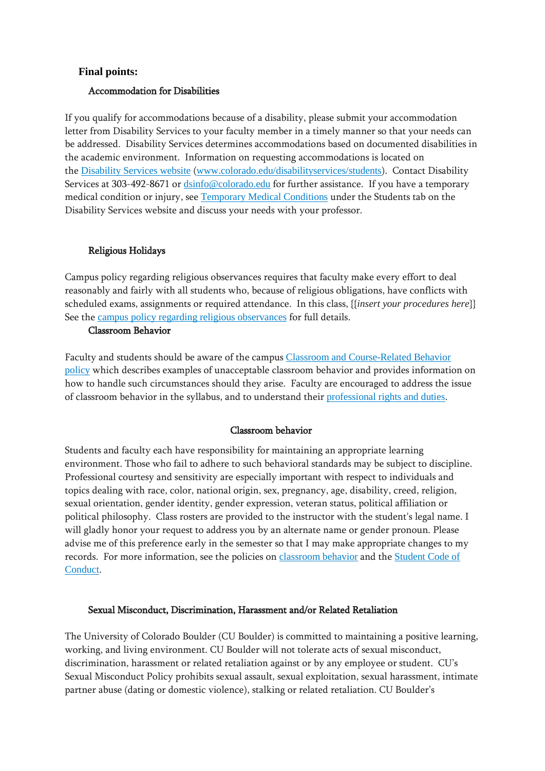# **Final points:**

### Accommodation for Disabilities

If you qualify for accommodations because of a disability, please submit your accommodation letter from Disability Services to your faculty member in a timely manner so that your needs can be addressed. Disability Services determines accommodations based on documented disabilities in the academic environment. Information on requesting accommodations is located on the [Disability](http://www.colorado.edu/disabilityservices/students) Services website ([www.colorado.edu/disabilityservices/students](http://www.colorado.edu/disabilityservices/students)). Contact Disability Services at 303-492-8671 or  $\frac{dsinfo@colorado.edu}{c}$  $\frac{dsinfo@colorado.edu}{c}$  $\frac{dsinfo@colorado.edu}{c}$  for further assistance. If you have a temporary medical condition or injury, see [Temporary](http://www.colorado.edu/disabilityservices/students/temporary-medical-conditions) Medical Conditions under the Students tab on the Disability Services website and discuss your needs with your professor.

### Religious Holidays

Campus policy regarding religious observances requires that faculty make every effort to deal reasonably and fairly with all students who, because of religious obligations, have conflicts with scheduled exams, assignments or required attendance. In this class, {{*insert your procedures here*}} See the campus policy regarding religious [observances](http://www.colorado.edu/policies/observance-religious-holidays-and-absences-classes-andor-exams) for full details.

#### Classroom Behavior

Faculty and students should be aware of the campus Classroom and [Course-Related](http://www.colorado.edu/policies/student-classroom-and-course-related-behavior) Behavior [policy](http://www.colorado.edu/policies/student-classroom-and-course-related-behavior) which describes examples of unacceptable classroom behavior and provides information on how to handle such circumstances should they arise. Faculty are encouraged to address the issue of classroom behavior in the syllabus, and to understand their [professional](http://www.colorado.edu/bfa/sites/default/files/attached-files/PRDJanuary16_2013_0.pdf) rights and duties.

### Classroom behavior

Students and faculty each have responsibility for maintaining an appropriate learning environment. Those who fail to adhere to such behavioral standards may be subject to discipline. Professional courtesy and sensitivity are especially important with respect to individuals and topics dealing with race, color, national origin, sex, pregnancy, age, disability, creed, religion, sexual orientation, gender identity, gender expression, veteran status, political affiliation or political philosophy. Class rosters are provided to the instructor with the student's legal name. I will gladly honor your request to address you by an alternate name or gender pronoun. Please advise me of this preference early in the semester so that I may make appropriate changes to my records. For more information, see the policies on [classroom](http://www.colorado.edu/policies/student-classroom-and-course-related-behavior) behavior and the [Student](http://www.colorado.edu/osccr/) Code of [Conduct](http://www.colorado.edu/osccr/).

### Sexual Misconduct, Discrimination, Harassment and/or Related Retaliation

The University of Colorado Boulder (CU Boulder) is committed to maintaining a positive learning, working, and living environment. CU Boulder will not tolerate acts of sexual misconduct, discrimination, harassment or related retaliation against or by any employee or student. CU's Sexual Misconduct Policy prohibits sexual assault, sexual exploitation, sexual harassment, intimate partner abuse (dating or domestic violence), stalking or related retaliation. CU Boulder's